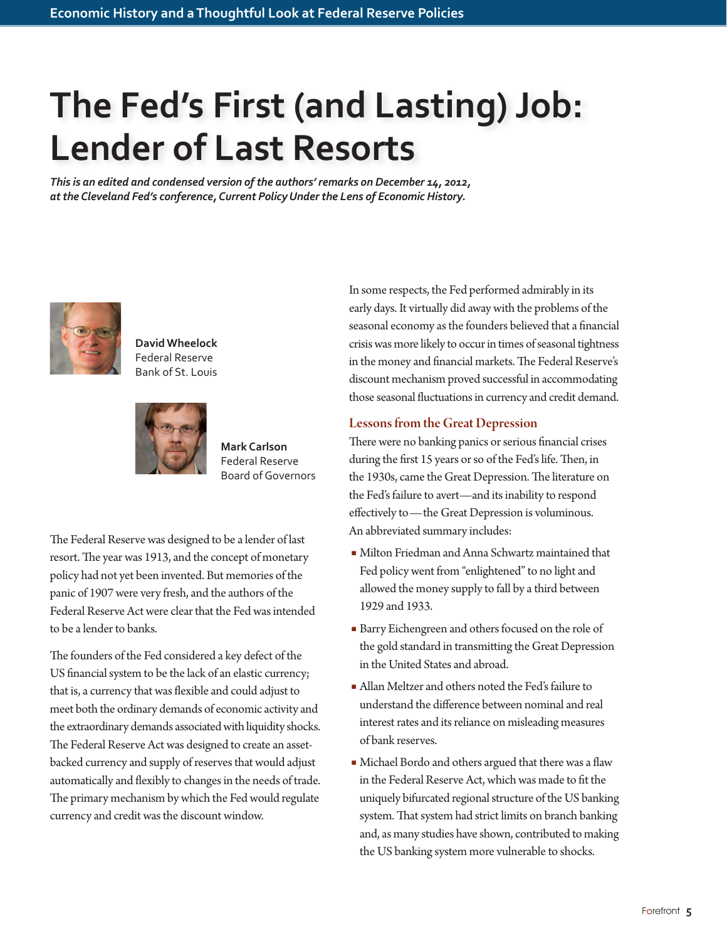# **The Fed's First (and Lasting) Job: Lender of Last Resorts**

*This is an edited and condensed version of the authors' remarks on December 14, 2012, at the Cleveland Fed's conference, Current Policy Under the Lens of Economic History.*



**David Wheelock** Federal Reserve Bank of St. Louis



**Mark Carlson** Federal Reserve Board of Governors

The Federal Reserve was designed to be a lender of last resort. The year was 1913, and the concept of monetary policy had not yet been invented. But memories of the panic of 1907 were very fresh, and the authors of the Federal Reserve Act were clear that the Fed was intended to be a lender to banks.

The founders of the Fed considered a key defect of the US financial system to be the lack of an elastic currency; that is, a currency that was flexible and could adjust to meet both the ordinary demands of economic activity and the extraordinary demands associated with liquidity shocks. The Federal Reserve Act was designed to create an assetbacked currency and supply of reserves that would adjust automatically and flexibly to changes in the needs of trade. The primary mechanism by which the Fed would regulate currency and credit was the discount window.

In some respects, the Fed performed admirably in its early days. It virtually did away with the problems of the seasonal economy as the founders believed that a financial crisis was more likely to occur in times of seasonal tightness in the money and financial markets. The Federal Reserve's discount mechanism proved successful in accommodating those seasonal fluctuations in currency and credit demand.

# Lessons from the Great Depression

There were no banking panics or serious financial crises during the first 15 years or so of the Fed's life. Then, in the 1930s, came the Great Depression. The literature on the Fed's failure to avert—and its inability to respond effectively to—the Great Depression is voluminous. An abbreviated summary includes:

- Milton Friedman and Anna Schwartz maintained that Fed policy went from "enlightened" to no light and allowed the money supply to fall by a third between 1929 and 1933.
- Barry Eichengreen and others focused on the role of the gold standard in transmitting the Great Depression in the United States and abroad.
- Allan Meltzer and others noted the Fed's failure to understand the difference between nominal and real interest rates and its reliance on misleading measures of bank reserves.
- Michael Bordo and others argued that there was a flaw in the Federal Reserve Act, which was made to fit the uniquely bifurcated regional structure of the US banking system. That system had strict limits on branch banking and, as many studies have shown, contributed to making the US banking system more vulnerable to shocks.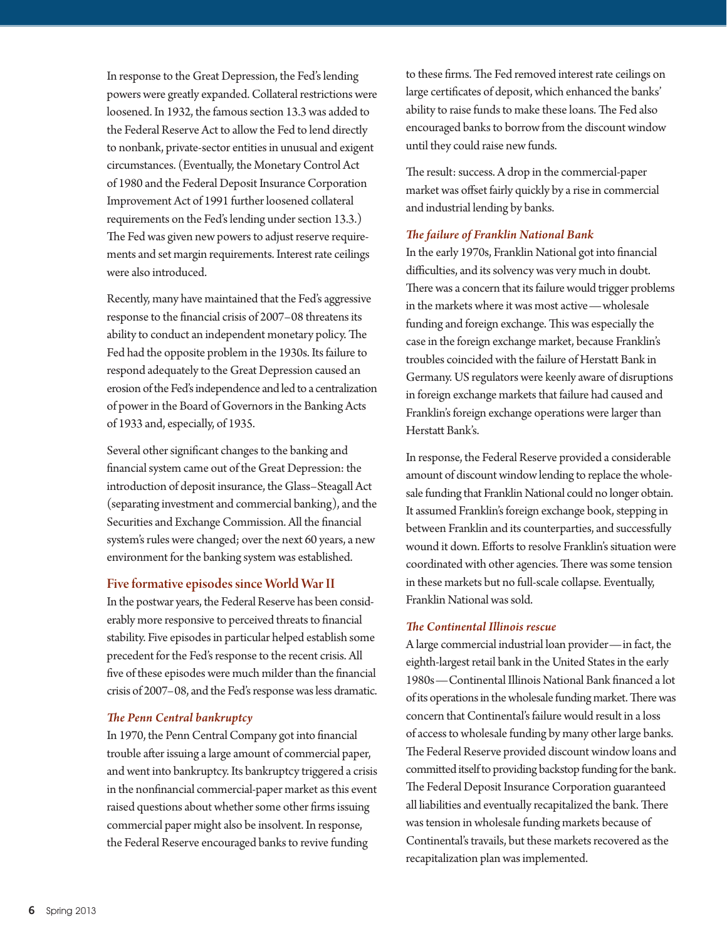In response to the Great Depression, the Fed's lending powers were greatly expanded. Collateral restrictions were loosened. In 1932, the famous section 13.3 was added to the Federal Reserve Act to allow the Fed to lend directly to nonbank, private-sector entities in unusual and exigent circumstances. (Eventually, the Monetary Control Act of 1980 and the Federal Deposit Insurance Corporation Improvement Act of 1991 further loosened collateral requirements on the Fed's lending under section 13.3.) The Fed was given new powers to adjust reserve requirements and set margin requirements. Interest rate ceilings were also introduced.

Recently, many have maintained that the Fed's aggressive response to the financial crisis of 2007–08 threatens its ability to conduct an independent monetary policy. The Fed had the opposite problem in the 1930s. Its failure to respond adequately to the Great Depression caused an erosion of the Fed's independence and led to a centralization of power in the Board of Governors in the Banking Acts of 1933 and, especially, of 1935.

Several other significant changes to the banking and financial system came out of the Great Depression: the introduction of deposit insurance, the Glass–Steagall Act (separating investment and commercial banking), and the Securities and Exchange Commission. All the financial system's rules were changed; over the next 60 years, a new environment for the banking system was established.

## Five formative episodes since World War II

In the postwar years, the Federal Reserve has been considerably more responsive to perceived threats to financial stability. Five episodes in particular helped establish some precedent for the Fed's response to the recent crisis. All five of these episodes were much milder than the financial crisis of 2007–08, and the Fed's response was less dramatic.

## *The Penn Central bankruptcy*

In 1970, the Penn Central Company got into financial trouble after issuing a large amount of commercial paper, and went into bankruptcy. Its bankruptcy triggered a crisis in the nonfinancial commercial-paper market as this event raised questions about whether some other firms issuing commercial paper might also be insolvent. In response, the Federal Reserve encouraged banks to revive funding

to these firms. The Fed removed interest rate ceilings on large certificates of deposit, which enhanced the banks' ability to raise funds to make these loans. The Fed also encouraged banks to borrow from the discount window until they could raise new funds.

The result: success. A drop in the commercial-paper market was offset fairly quickly by a rise in commercial and industrial lending by banks.

#### *The failure of Franklin National Bank*

In the early 1970s, Franklin National got into financial difficulties, and its solvency was very much in doubt. There was a concern that its failure would trigger problems in the markets where it was most active—wholesale funding and foreign exchange. This was especially the case in the foreign exchange market, because Franklin's troubles coincided with the failure of Herstatt Bank in Germany. US regulators were keenly aware of disruptions in foreign exchange markets that failure had caused and Franklin's foreign exchange operations were larger than Herstatt Bank's.

In response, the Federal Reserve provided a considerable amount of discount window lending to replace the wholesale funding that Franklin National could no longer obtain. It assumed Franklin's foreign exchange book, stepping in between Franklin and its counterparties, and successfully wound it down. Efforts to resolve Franklin's situation were coordinated with other agencies. There was some tension in these markets but no full-scale collapse. Eventually, Franklin National was sold.

## *The Continental Illinois rescue*

A large commercial industrial loan provider—in fact, the eighth-largest retail bank in the United States in the early 1980s—Continental Illinois National Bank financed a lot of its operations in the wholesale funding market. There was concern that Continental's failure would result in a loss of access to wholesale funding by many other large banks. The Federal Reserve provided discount window loans and committed itself to providing backstop funding for the bank. The Federal Deposit Insurance Corporation guaranteed all liabilities and eventually recapitalized the bank. There was tension in wholesale funding markets because of Continental's travails, but these markets recovered as the recapitalization plan was implemented.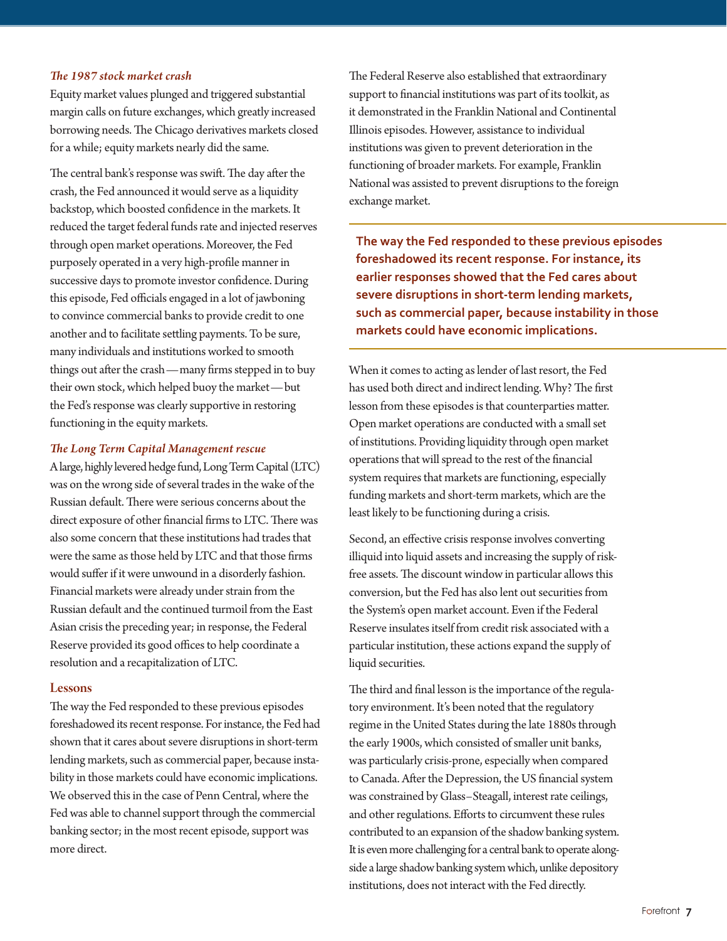#### *The 1987 stock market crash*

Equity market values plunged and triggered substantial margin calls on future exchanges, which greatly increased borrowing needs. The Chicago derivatives markets closed for a while; equity markets nearly did the same.

The central bank's response was swift. The day after the crash, the Fed announced it would serve as a liquidity backstop, which boosted confidence in the markets. It reduced the target federal funds rate and injected reserves through open market operations. Moreover, the Fed purposely operated in a very high-profile manner in successive days to promote investor confidence. During this episode, Fed officials engaged in a lot of jawboning to convince commercial banks to provide credit to one another and to facilitate settling payments. To be sure, many individuals and institutions worked to smooth things out after the crash—many firms stepped in to buy their own stock, which helped buoy the market—but the Fed's response was clearly supportive in restoring functioning in the equity markets.

#### *The Long Term Capital Management rescue*

A large, highly levered hedge fund, Long Term Capital (LTC) was on the wrong side of several trades in the wake of the Russian default. There were serious concerns about the direct exposure of other financial firms to LTC. There was also some concern that these institutions had trades that were the same as those held by LTC and that those firms would suffer if it were unwound in a disorderly fashion. Financial markets were already under strain from the Russian default and the continued turmoil from the East Asian crisis the preceding year; in response, the Federal Reserve provided its good offices to help coordinate a resolution and a recapitalization of LTC.

#### Lessons

The way the Fed responded to these previous episodes foreshadowed its recent response. For instance, the Fed had shown that it cares about severe disruptions in short-term lending markets, such as commercial paper, because instability in those markets could have economic implications. We observed this in the case of Penn Central, where the Fed was able to channel support through the commercial banking sector; in the most recent episode, support was more direct.

The Federal Reserve also established that extraordinary support to financial institutions was part of its toolkit, as it demonstrated in the Franklin National and Continental Illinois episodes. However, assistance to individual institutions was given to prevent deterioration in the functioning of broader markets. For example, Franklin National was assisted to prevent disruptions to the foreign exchange market.

**The way the Fed responded to these previous episodes foreshadowed its recent response. For instance, its earlier responses showed that the Fed cares about severe disruptions in short-term lending markets, such as commercial paper, because instability in those markets could have economic implications.**

When it comes to acting as lender of last resort, the Fed has used both direct and indirect lending. Why? The first lesson from these episodes is that counterparties matter. Open market operations are conducted with a small set of institutions. Providing liquidity through open market operations that will spread to the rest of the financial system requires that markets are functioning, especially funding markets and short-term markets, which are the least likely to be functioning during a crisis.

Second, an effective crisis response involves converting illiquid into liquid assets and increasing the supply of riskfree assets. The discount window in particular allows this conversion, but the Fed has also lent out securities from the System's open market account. Even if the Federal Reserve insulates itself from credit risk associated with a particular institution, these actions expand the supply of liquid securities.

The third and final lesson is the importance of the regulatory environment. It's been noted that the regulatory regime in the United States during the late 1880s through the early 1900s, which consisted of smaller unit banks, was particularly crisis-prone, especially when compared to Canada. After the Depression, the US financial system was constrained by Glass–Steagall, interest rate ceilings, and other regulations. Efforts to circumvent these rules contributed to an expansion of the shadow banking system. It is even more challenging for a central bank to operate alongside a large shadow banking system which, unlike depository institutions, does not interact with the Fed directly.